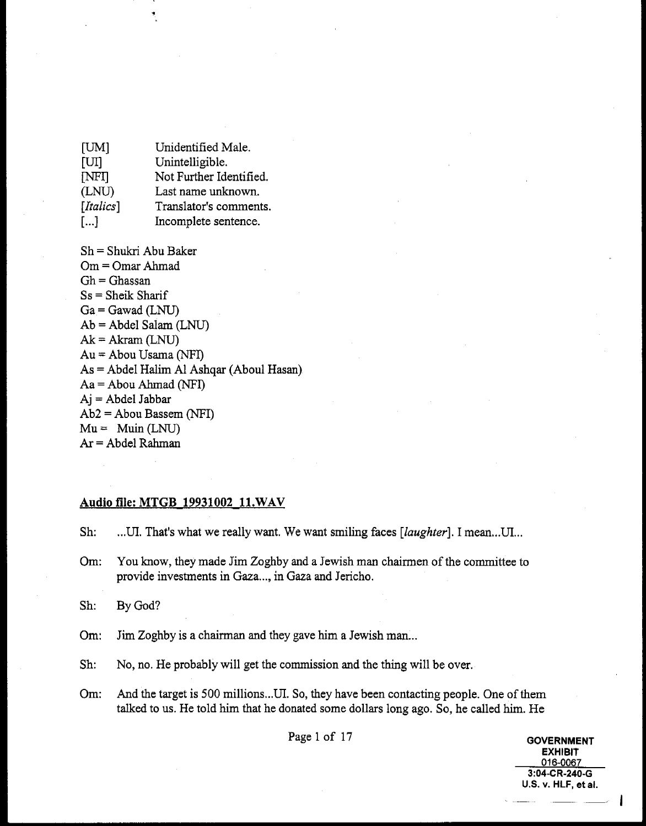| [UM]             | Unidentified Male.      |
|------------------|-------------------------|
| [ <sub>U</sub> ] | Unintelligible.         |
| [NFI]            | Not Further Identified. |
| (LNU)            | Last name unknown.      |
| [Italics]        | Translator's comments.  |
| $\lceil  \rceil$ | Incomplete sentence.    |

Sh = Shukri Abu Baker Om = Omar Ahrnad  $Gh = Ghassan$ Ss = Sheik Sharif  $Ga =$  Gawad (LNU) Ab = Abdel Salam (LNU)  $Ak = Akram (LNU)$ Au = Abou Usama (NFI) As = Abdel Halim A1 Ashqar (Aboul Hasan)  $Aa = Abou Ahmad (NFI)$ **Aj** = Abdel Jabbar Ab2 = Abou Bassem (NFI)  $Mu =$  Muin (LNU) **Ar** = Abdel Rahman

#### **Audio file: MTGB 19931002 1l.WAV**

Sh: ...UI. That's what we really want. We want smiling faces [laughter]. I mean...UI...

Om: You know, they made Jim Zoghby and a Jewish **man** chairmen of the committee to provide investments in Gaza ..., in Gaza and Jericho.

Sh: By God?

Om: Jim Zoghby is a chairman and they gave him a Jewish man...

Sh: No, no. He probably will get the commission and the thing will be over.

Om: And the target is 500 millions ... **UI.** So, they have been contacting people. One of them talked to us. He told him that he donated some dollars long ago, So, he called him. He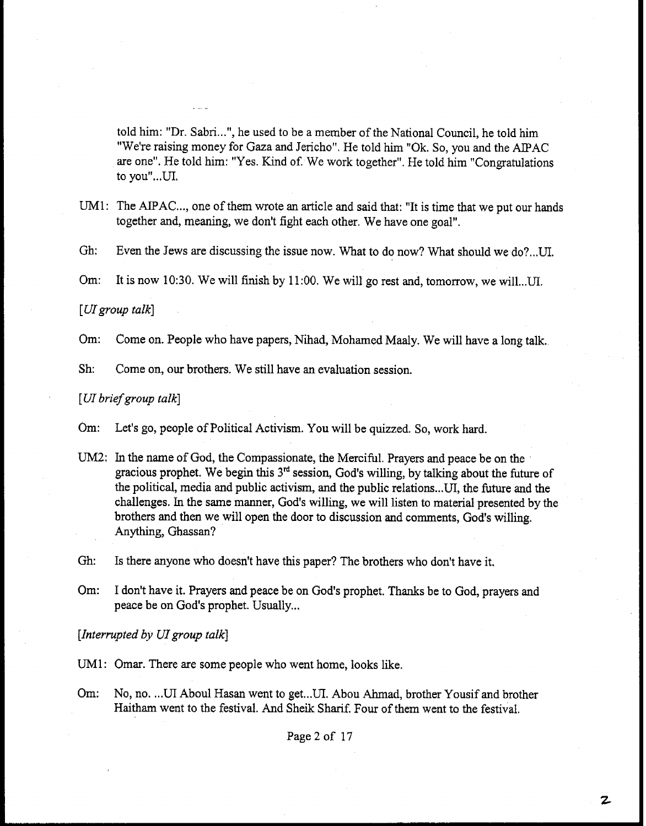told him: "Dr. Sabri...", he used to be a member of the National Council, he told him "We're raising money for Gaza and Jericho". He told him "Ok. So, you and the AIPAC are one". He told him: "Yes. Kind of. We work together". He told him "Congratulations to you"...UI.

UM1: The AIPAC..., one of them wrote an article and said that: "It is time that we put our hands together and, meaning, we don't fight each other. We have one goal".

Gh: Even the Jews are discussing the issue now. What to do now? What should we do? ... UI.

**Om:** It is now 10:30. We will finish by 11:OO. We will go rest and, tomorrow, **we** will ...UI.

[ *UIgroup talk]* 

**Om:** Come on. People who have papers, Nihad, Mohamed Maaly. We will have a long talk.

Sh: Come on, our brothers. We still have an evaluation session.

**[UI brief** *group talk]* 

Om: Let's go, people of Political Activism. You will be quizzed. So, work hard.

UM2: In the name of God, the Compassionate, the Merciful. Prayers and peace be on the gracious prophet. We begin this 3<sup>rd</sup> session, God's willing, by talking about the future of the political, media and public activism, and the public relations ...UI, the future and the challenges. In the same manner, **God's** willing, we will listen to material presented by the brothers and then we will open the door to discussion and comments, God's willing. Anything, **Ghassan?** 

Gh: Is there anyone who doesn't have this paper? The brothers who don't have it.

**Om:** I don't have it. Prayers and peace be on God's prophet. Thanks be to God, prayers and peace be on God's prophet. Usually...

*[Interrupted by UIgroup talk]* 

UM1: Omar. There are some people who went home, looks like.

Om: No, no. ... UI Aboul Hasan went to get... UI. Abou Ahmad, brother Yousif and brother Haitham went to the festival. And Sheik Sharif. Four of them went to the festival.

Page 2 of 17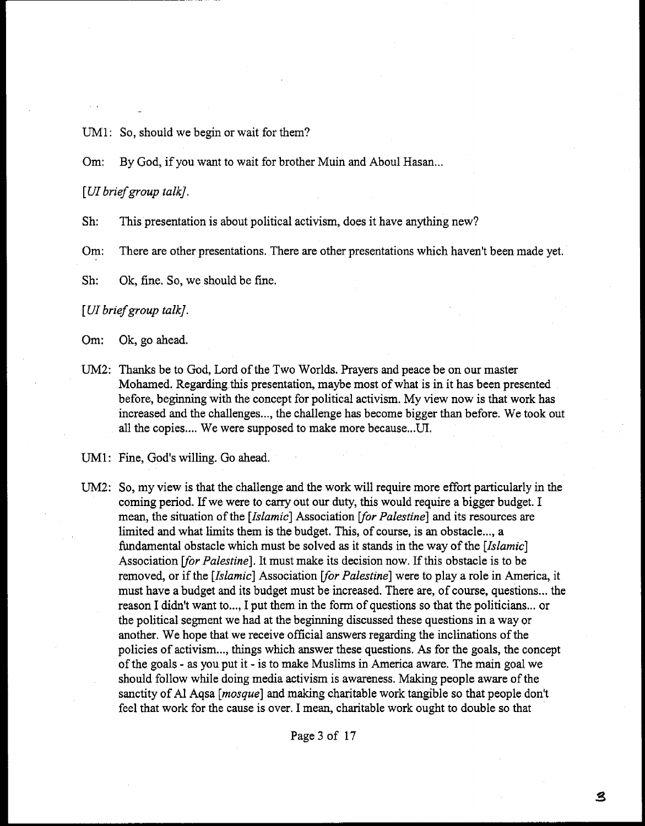UM1: So, should we begin or wait for them?

**Om:** By God, if you want to wait for brother Muin and Aboul Hasan.,.

**[UI briefgroup** *talk].* 

**Sh:** This presentation is about political activism, does it have anything new?

**Om:** There are other presentations. There are other presentations which haven't been made yet,

**Sh:** Ok, fine. So, we should be fine.

# [ W **brief group** *talk].*

Om: Ok, go ahead.

UM2: Thanks be to God, Lord of the Two Worlds. Prayers and peace be on our master Moharned. Regarding this presentation, maybe most of what is in it has been presented before, beginning with the concept for political activism. My view now is that work has increased and the challenges ..., the challenge has become bigger than before. We took out all the copies.... We were supposed to make more because...UI.

UM1: Fine, God's willing. Go ahead.

UM2: So, my view is that the challenge and the work will require more effort particularly in the coming period. If we were to carry out our duty, this would require a bigger budget. I mean, the situation of the *[Islamic]* Association [for Palestine] and its resources are limited and what limits them is the budget. This, of course, is an obstacle ..., a fundamental obstacle which must be solved as it stands in the way of the *[Islamic]*  Association **For** *Palestine].* It must make its decision now. If this obstacle is to be removed, or if the *[Islamic]* Association *[for Palestine]* were to play a role in America, it must have a budget and its budget must be increased. There are, of course, questions ... the reason I didn't want to..., I put them in the form of questions so that the politicians... or the political segment we had at the beginning discussed these questions in a way or another. We hope that we receive official answers regarding the inclinations of the policies of activism ..., things which answer these questions. As for the goals, the concept of the goals - as you put it - is to make Muslims in America aware. The main goal we should follow while doing media activism is awareness. Making people aware of the sanctity of A1 Aqsa *[masque]* and making charitable work tangible so that people don't feel that work for the cause is over. I mean, charitable work ought to double so that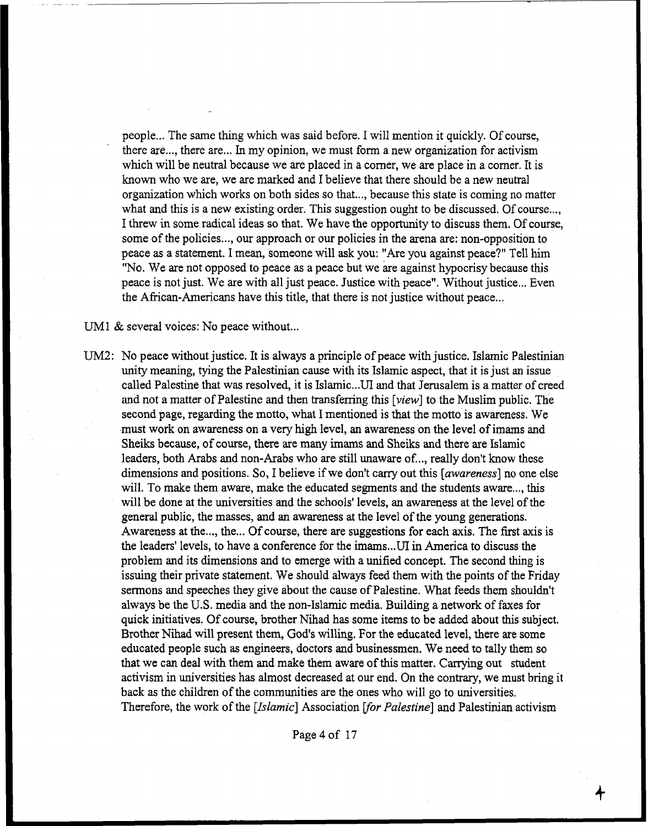people ... The same thing which was said before. I will mention it quickly. Of course, there are..., there are... In my opinion, we must form a new organization for activism which will be neutral because we are placed in a corner, we are place in a corner. It is known who we are, we are marked and I believe that there should be a new neutral organization which works on both sides so that..., because this state is coming no matter what and this is a new existing order. This suggestion ought to be discussed. Of course..., I threw in some radical ideas so that, We have the opportunity to discuss them. Of course, some of the policies ..., our approach or our policies in the arena are: non-opposition to peace as a statement. I mean, someone will ask you: "Are you against peace?" Tell him "No. We are not opposed to peace as a peace but we are against hypocrisy because this peace is not just. We are with all just peace. Justice with peace", Without justice ... Even the African-Americans have this title, that there is not justice without peace...

UM1  $&$  several voices: No peace without...

UM2: No peace without justice. It is always a principle of peace with justice. Islamic Palestinian unity meaning, tying the Palestinian cause with its Islamic aspect, that it is just an issue called Palestine that was resolved, it is Islarnic.,.UI and that Jerusalem is a matter of creed and not a matter of Palestine and then transferring this [view] to the Muslim public. The second page, regarding the motto, what I mentioned is that the motto is awareness. We must work on awareness on a very high level, **an** awareness on the level of imams **and**  Sheiks because, of course, there are many imams and Sheiks and there are Islamic leaders, both Arabs and non-Arabs who are still unaware of..., really don't know these dimensions and positions. So, I believe if we donft carry out this *[awareness]* no one else will. To make them aware, make the educated segments and the students aware ..., this will be done at the universities **and** the schools' levels, an awareness at the level of the general public, the masses, and an awareness at the level of the young generations. Awareness at the ..., the ... Of course, there are suggestions for each axis. The first axis is the leaders' levels, to have a conference for the imams ... UI in America to discuss the problem and its dimensions and to emerge with a unified concept. The second thing is issuing their private statement. We should always feed them with the points of the Friday sermons and speeches they give about the cause of Palestine. What feeds them shouldn't always be the **U.S.** media and the non-Islamic media. Building a network of faxes for quick initiatives. Of course, brother Nihad has some items to be added about this subject. Brother Nihad will present them, God's willing. For the educated level, there are some educated people such **as** engineers, doctors and businessmen. We need to tally them so that we can deal with them **and** make them aware of this matter. **Carrying** out student activism in universities has almost decreased at our end. On the contrary, we must bring it back as the children of the communities are the ones who will go to universities. Therefore, the work of the *[Islamic]* Association *for Palestine*] and Palestinian activism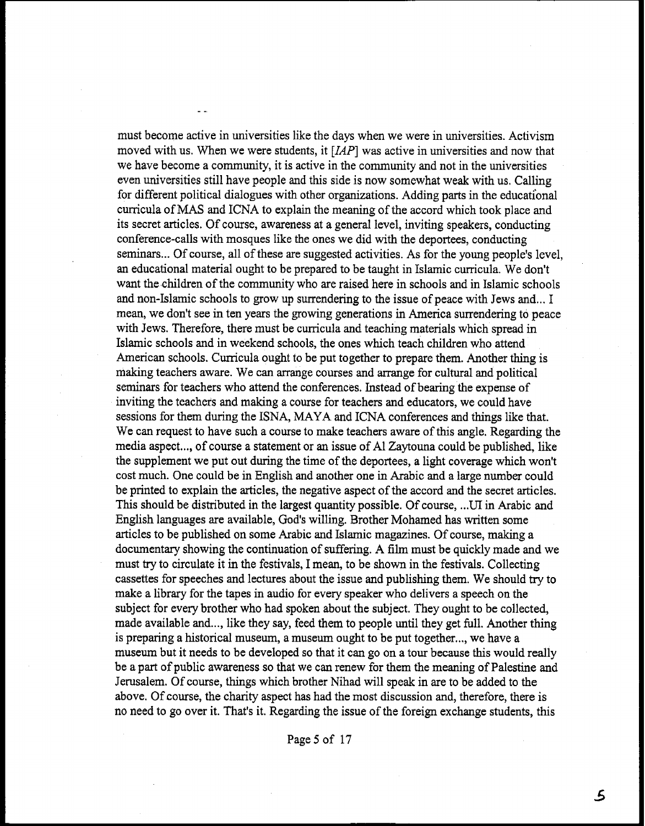must become active in universities like the days when we were in universities. Activism moved with us. When we were students, it [IAP] was active in universities and now that we have become a community, it is active in the community and not in the universities even universities still have people and this side is now somewhat weak with us. Calling for different political dialogues with other organizations. Adding parts in the educational curricula of MAS and ICNA to explain the meaning of the accord which took place and its secret articles. Of course, awareness at a general level, inviting speakers, conducting conference-calls with mosques like the ones we did with the deportees, conducting seminars ... Of course, all of these are suggested activities. As for the young people's level, **an** educational material ought to be prepared to be taught in Islamic curricula. We don't want the children of the community who are raised here in schools and in Islamic schools and non-Islamic schools to grow up surrendering to the issue of peace with Jews and.,, I mean, we don't see in ten years the growing generations in America surrendering to peace with Jews. Therefore, there must be curricula and teaching materials which spread in Islamic schools and in weekend schools, the ones which teach children who attend American schools. Curricula ought to be put together to prepare them. Another thing is making teachers aware. We can arrange courses and arrange for cultural and political seminars for teachers who attend the conferences. Instead of bearing the expense of inviting the teachers and making a course for teachers and educators, we could have sessions for them during the ISNA, MAYA and ICNA conferences and things like that. We can request to have such a course to make teachers aware of this angle. Regarding the media aspect..., of course a statement or an issue of A1 Zaytouna could be published, like the supplement we put out during the time of the deportees, a light coverage which won't cost much. **One** could be in English and another one in Arabic and a large number could be printed to explain the articles, the negative aspect of the accord and the secret articles. This should be distributed in the largest quantity possible. Of course, ... UI in Arabic and English languages are available, God's willing. Brother Mohamed has written some articles to be published on some Arabic and Islamic magazines. Of course, **making** a documentary showing the continuation of suffering. **A** film must be quickly made and we must try to circulate it in the festivals, I mean, to be shown in the festivals. Collecting cassettes for speeches and lectures about the issue and publishing them. We should try to make a library for the tapes in audio for every speaker who delivers a speech on the subject for every brother who had spoken about the subject. They ought to be collected, made available and..., like they say, feed them to people until they get full. Another thing is preparing a historical museum, a museum ought to be put together..., we have a museum but it needs to be developed so that it can go on a tour because this would really be a part of public awareness so that we can renew for them the meaning of Palestine and Jerusalem. Of course, things which brother Nihad will speak in are to be added to the above. Of course, the charity aspect has had the most discussion and, therefore, there is no need to go over it. That's it. Regarding the issue of the foreign exchange students, this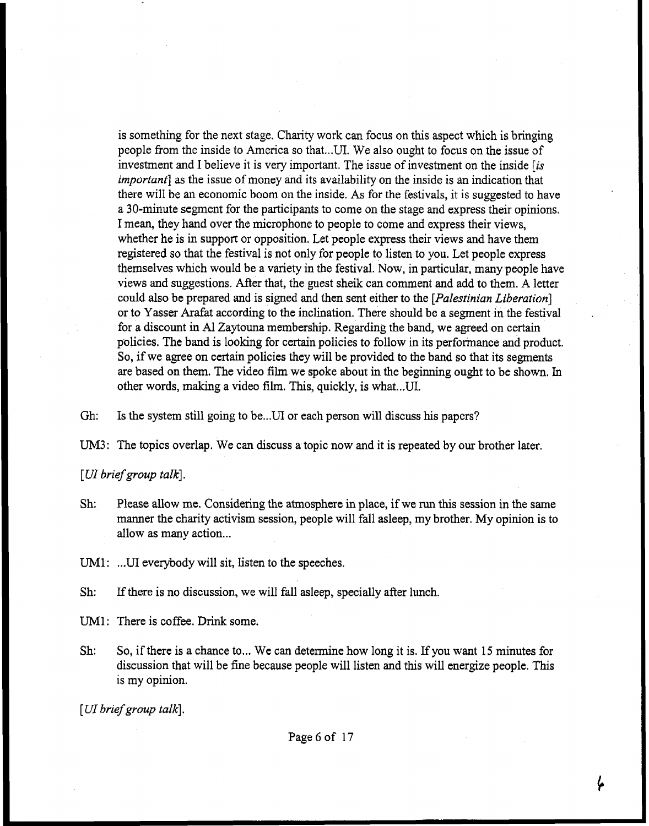is something for the next stage, Charity work can focus on this aspect which is bringing people from the inside to America so that ... UI. We also ought to focus on the issue of investment and I believe it is very important. The issue of investment on the inside [is *important]* as the issue of money and its availability on the inside is an indication that there will be an economic boom on the inside. As for the festivals, it is suggested to have a 30-minute segment for the participants to come on the stage and express their opinions. I mean, they hand over the microphone to people to come and express their views, whether he is in support or opposition. Let people express their views and have them registered so that the festival is not only for people to listen to you. Let people express themselves which would be a variety in the festival. Now, in particular, many peaple have views and suggestions. After that, the guest sheik can comment and add to them. **A** letter could also be prepared and is signed and then sent either to the *[Palestinian Liberation]*  or to Yasser Arafat according to the inclination. There should be a segment in the festival for a discount in A1 Zaytouna membership. Regarding the band, we agreed on certain policies. The band is looking for certain policies to follow in its performance and product, So, if we agree on certain policies they will be provided to the band so that its segments are based on them. The video film we spoke about in the beginning ought to be shown. In other words, making a video film. This, quickly, is what ... UI.

Gh: Is the system still going to be...UI or each person will discuss his papers?

UM3: The topics overlap. We can discuss a topic now and it is repeated by our brother later.

[ **UI** *brief group talk].* 

- Sh: Please allow me. Considering the atmosphere in place, if we run this session in the same manner the charity activism session, people will fall asleep, my brother. My opinion is to allow as many action...
- UM1: ... UI everybody will sit, listen to the speeches.
- Sh: If there is no discussion, we will fall asleep, specially after lunch.
- **UM1:** There is coffee. **Drink** some.
- Sh: So, if there is a chance to... We can determine how long it is. If you want 15 minutes for discussion that will be fine because people will listen and this will energize people. This is my opinion.

[*UI* brief group talk].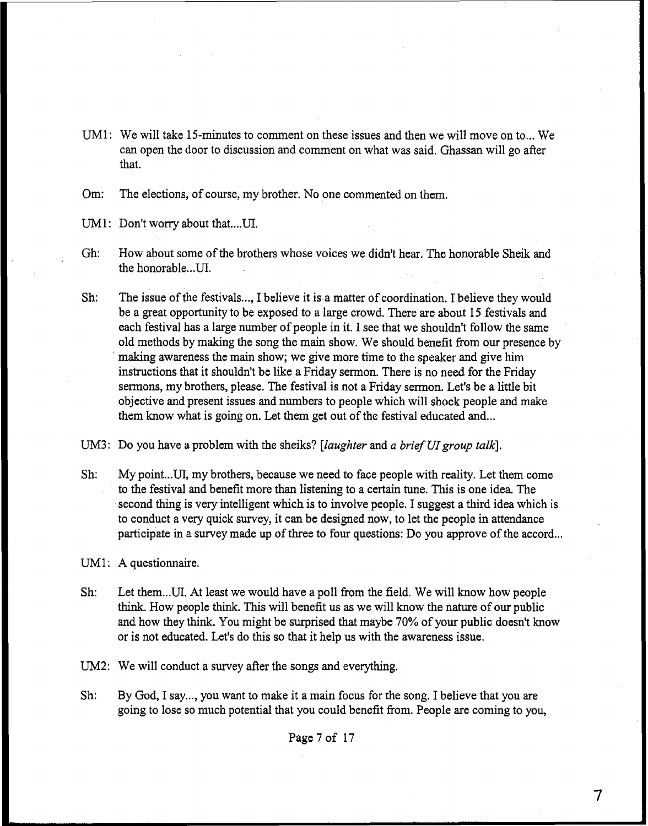UM1: We will take 15-minutes to comment on these issues and then we will move on to ... We can open the door to discussion and comment on what was said. Ghassan will go after that.

Om: The elections, of course, my brother. No one commented on them.

UM1: Don't worry about that....UI.

- Gh: How about some of the brothers whose voices we didn't hear. The honorable Sheik and the honorable.. **.UI.**
- Sh: The issue of the festivals,.., I believe it is a matter of coordination. I believe they would be a great opportunity to be exposed to a large crowd. There are about 15 festivals and each festival has a large number of people in it. I see that we shouldn't follow the same old methods by making the song the main show. We should benefit from our presence by making awareness the main show; we give more time to the speaker and give him instructions that it shouldn't be like a Friday sermon. There is no need for the Friday sermons, my brothers, please. The festival is not a Friday serrnon. Let's be a little bit objective and present issues and numbers to people which will shock people and make them know what is going on. Let them get out of the festival educated and...

UM3: Do you have a problem with the sheiks? *[laughter* and a *brief* **UI** *group talk].* 

- Sh: My point... UI, my brothers, because we need to face people with reality. Let them come to the festival and benefit more than listening to a certain tune. This is one idea. The second thing is very intelligent which is to involve people, I suggest a third idea which is to conduct a very quick survey, it can be designed now, to let the people in attendance participate in a survey made up of three to four questions: Do you approve of the accord...
- UM1: A questionnaire.
- Sh: Let them ... **UI.** At least we would have a poll **from** the field. We will know how people think. How people think. This will benefit us as we will know the nature of our public and how they think. You might be surprised that maybe 70% of your public doesn't know or is not educated. Let's do this so that it help us with the awareness issue.
- UM2: We will conduct a survey after the songs and everything.
- Sh: By God, I say..., you want to make it a main focus for the song. I believe that you are going to lose so much potential that you could benefit from. People are coming to you,

Page **7** of 17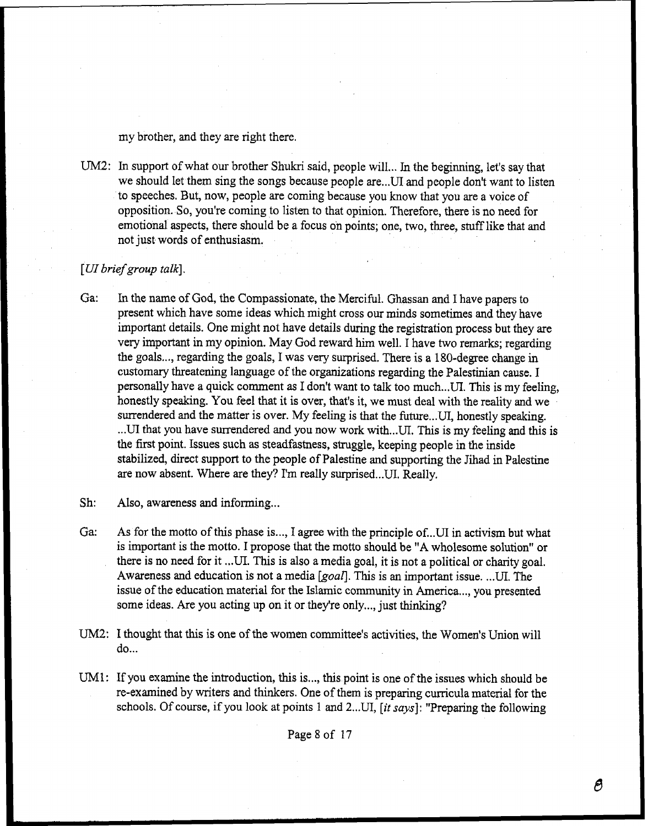my brother, and they are right there.

UM2: In support of what our brother Shukri said, people will... In the beginning, let's say that we should let them sing the songs because people are...UI and people don't want to listen to speeches. But, now, people are coming because you **know** that you are a voice of opposition. So, you're coming to listen to that opinion. Therefore, there is no need for emotional aspects, there should be a focus on points; one, two, three, stuff like that and not just words of enthusiasm.

## *[UI* **brief** *group talk],*

**Ga:** In the name of God, the Compassionate, the Merciful. Ghassan and I have papers to present which have some ideas which might cross ow minds sometimes and they have important details. One might not have details during the registration process but they are very important in my opinion. May God reward him well. I have two remarks; regarding the goals..., regarding the goals, I was very surprised. There is a 180-degree change in customary threatening language of the organizations regarding the Palestinian cause. I personally have a quick comment as I don't want to talk too much ... UI. This is my feeling, honestly speaking. You feel that it is over, that's it, we **must** deal with the reality **and** we surrendered and the matter is over. My feeling is that the future... UI, honestly speaking. ...UI that you have surrendered and you now work with...UI. This is my feeling and this is the first point. Issues such as steadfastness, struggle, keeping people in the inside stabilized, direct support to the people of Palestine and supporting the Jihad in Palestine are now absent. Where are they? I'm really surprised ... **UI.** Really.

Sh: Also, awareness and informing...

- **Ga: As** for the motto of this phase is ..., I agree with the principle of...UI in activism but what is important is the motto. I propose that the motto should be **"A** wholesome solution" or there is no need for it ... **UI.** This is also a media goal, it is not a political or charity goal. Awareness and education is not a media *[goafl.* This is an important issue. ..,UI. The issue of the education material for the Islamic community in America ..., you presented some ideas. Are you acting up on it or they're only..., just thinking?
- UM2: I thought that this is one of the women committee's activities, the Women's Union will do...
- UM1: If you examine the introduction, **this** is ..., this point is one of the issues which should be re-examined by writers and thinkers. One of them is preparing curricula material for the schools. Of course, if you look at points 1 and 2...UI, [it says]: "Preparing the following

Page 8 of 17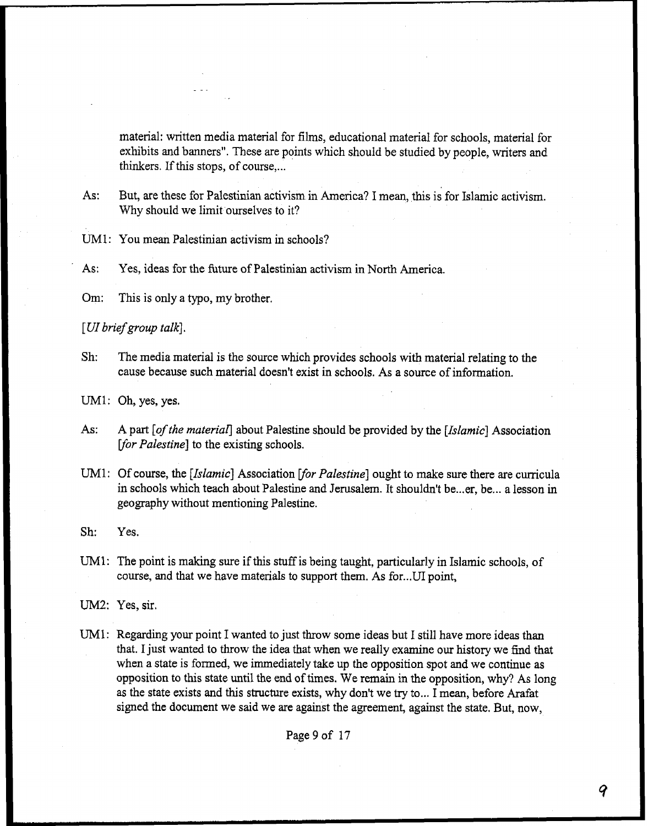material: written media material for films, educational material for schools, material for exhibits and banners". These are points which should be studied by people, writers and thinkers. If this stops, of course....

**As:** But, are these for Palestinian activism in America? I **mean,** this is for Islamic activism. Why should we limit ourselves to it?

UM1: You mean Palestinian activism in schools?

' **As:** Yes, ideas for the future of Palestinian activism in North America.

Om: This is only a typo, my brother,

**[UI** *briefgroup talk].* 

Sh: The media material is the source which provides schools with material relating to the cause because such material doesn't exist in schools. As a source of information.

UM1: Oh, yes, yes.

- As: **A part** [of *the materiar]* about Palestine should be provided by the *[Islamic]* Association *for Palestine*] to the existing schools.
- UM1: Of course, the *[Islamic]* Association [for Palestine] ought to make sure there are curricula in schools which teach about Palestine and Jerusalem. It shouldn't be ... er, be ... a lesson in geography without mentioning Palestine.

Sh: *Yes.* 

UMl: The point is making sure if this stuff is being taught, particularly in Islamic schools, of course, and that we have materials to support them. As for... UI point,

UM2: Yes, **sir.** 

UM1: Regarding your point I wanted to just throw some ideas but I still have more ideas than that. I just wanted to throw the idea that when we really examine our history we find that when a state is formed, we immediately take up the opposition spot and we continue as opposition to this state until the end of times. We remain in the opposition, why? As long as the state exists and this structure exists, why don't we try to ... I mean, before Arafat signed the document we said we are against the agreement, against the state. But, now,

Page 9 of 17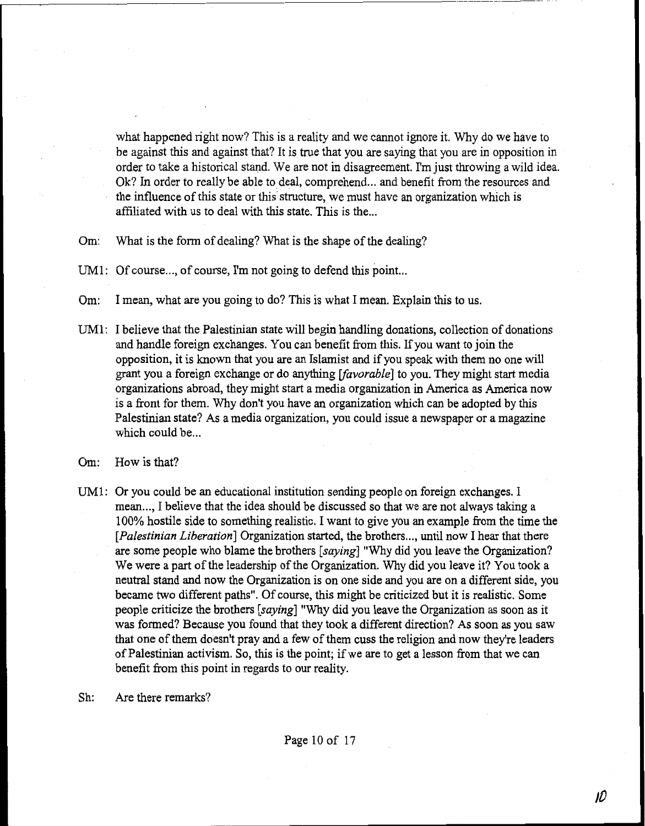what happened right now? This is a reality and we cannot ignore it. Why do we have to be against this and against that? It is true that you are saying that you are in opposition in order to take a historical stand. We are not in disagreement. I'm just throwing a wild idea. Ok? In order to really be able to deal, comprehend... and benefit from the resources and the influence of this state or this structure, we must have an organization which is affiliated with us to deal with this state. This is the...

- **Om:** What is the form of dealing? What is the shape of the dealing?
- UM1: Of course..., of course, I'm not going to defend this point...
- **Om:** I mean, what are you going to do? This is what I mean. Explain this to us.
- UM1: I believe that the Palestinian state will begin handling donations, collection of donations and handle foreign exchanges. You can benefit from this. If you want to join the opposition, it is known that you are an Islamist and if you speak with them no one will grant you a foreign exchange or do anyhng *[favorable]* to you. They might start media organizations abroad, they might start a media organization in America as America now is a front for them. Why don't you have **an** organization which can be adopted by this Palestinian state? As a media organization, you could issue a newspaper or a magazine which could be...
- Om: How is that?
- UM1: Or you could be an educational institution sending people on foreign exchanges. I mean..., I believe that the idea should be discussed so that we are not always taking a 100% hostile side to something realistic. I want to give you an example from the time the [*Palestinian Liberation*] Organization started, the brothers..., until now I hear that there are some people who blame the brothers **[saying]** "Why did you leave the Organization? We were a part of the leadership of the Organization. Why did you leave it? You took a neutral stand and **now** the Organization is on one side and you are on a different side, you became two different paths". Of course, this might be criticized but it is realistic. Some people criticize the brothers *[saying]* "Why did you leave the Organization as soon as it was formed? Because you found that they took a different direction? **As** soon as you saw that one of them doesn't pray and a few of them cuss the religion and now they're leaders of Palestinian activism. So, this is the point; if we are to get a lesson **from** that we can benefit from this point in regards to our reality.
- Sh: Are there remarks?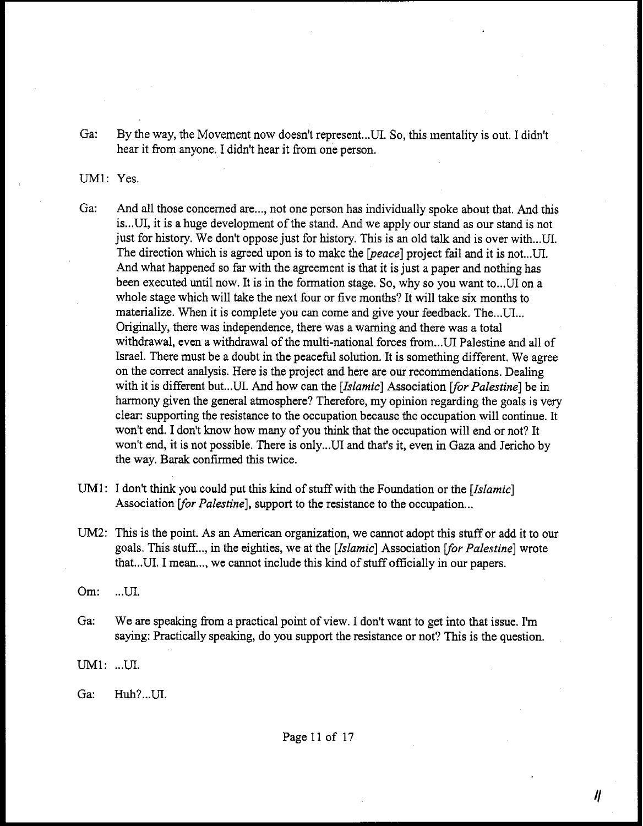Ga: By the way, the Movement now doesn't represent... UI. So, this mentality is out. I didn't hear it from anyone, I didn't hear it from one person.

# UM1: Yes.

- Ga: And all those concerned are..., not one person has individually spoke about that. And this is ... UI, it is a huge development of the stand. And we apply our stand as our stand is not just for history. We don't oppose just for history. This is an old talk and is over with ...UI. The direction which is agreed upon is to make the *[peace]* project fail and it is not... UI. And what happened so far with the agreement is that it is just a paper and nothing has been executed until now. It is in the formation stage. So, why so you want to...UI on a whole stage which will take the next four or five months? It will take six months to materialize. When it is complete you can come and give your feedback. The...UI... Originally, there was independence, there was a warning and there was a total withdrawal, even a withdrawal of the multi-national forces from ... UI Palestine and all of Israel. There must be a doubt in the peacehl solution. It is something different. We agree on the correct analysis. Here is the project and here are ow: recommendations. Dealing with it is different but...UI. And how can the *[Islamic]* Association [for Palestine] be in harmony given the general atmosphere? Therefore, my opinion regarding the goals is very clear: supporting the resistance to the occupation because the occupation will continue. It won't end, I don't know how many of you think that the occupation will end or not? It won't end, it is not possible. There is only ... **UI** and that's it, even in **Gaza** and Jericho by the **way. Barak** confirmed this twice.
- UM1: I don't think you could put this kind of stuff with the Foundation or the *[Islamic]*  Association [for Palestine], support to the resistance to the occupation...
- **UM2:** This is the point. As an American organization, we cannot adopt this stuff or add it to our goals. This stuff..., in the eighties, we at the *[Islamic]* Association [for Palestine] wrote that... UI. I mean..., we cannot include this kind of stuff officially in our papers.
- **Om:** ... UI,
- Ga: We are speaking from a practical point of view. I don't want to get into that issue. I'm saying: Practically speaking, do you support the resistance or not? This is the question.

 $UM1: ...U1.$ 

**Ga:** Huh? ... UI.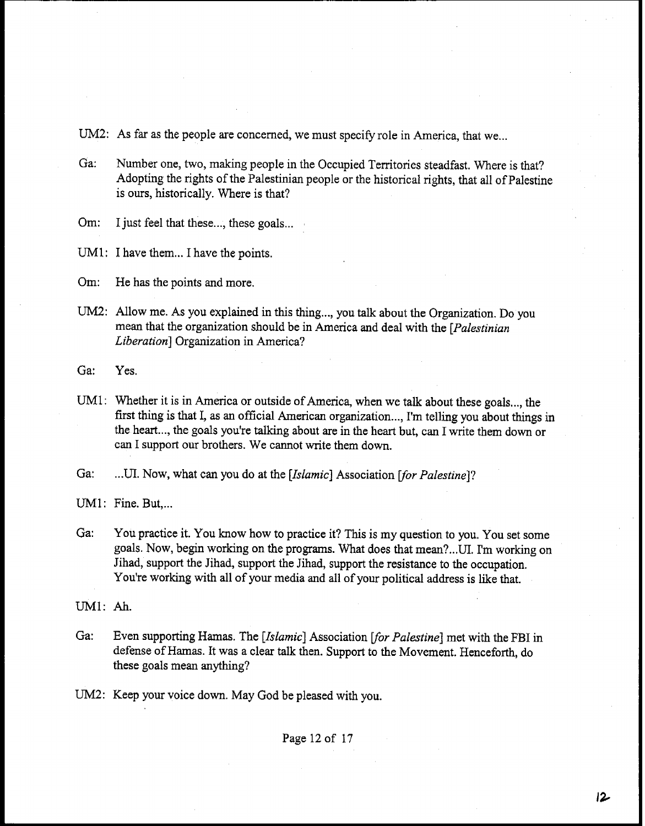UM2: As far as the people are concerned, we must specify role in America, that we...

**Ga:** Number one, two, making people in the Occupied Territories steadfast. Where is that? Adopting the rights of the Palestinian people or the historical rights, that all of Palestine is ours, historically. Where is that?

Om: I just feel that these..., these goals...

UM1: I have them... I have the points.

Om: He has the points and more.

UM2: Allow me. As you explained in this thing..., you talk about the Organization. Do you mean that the organization should be in America and deal with the *[Palestinian Liberation]* Organization in America?

Ga: Yes.

UM1: Whether it is in America or outside of America, when we talk about these goals ..., the first thing is that I, as an official American organization ..., I'm telling you about things in the heart ..., the goals you're talking about are in the heart but, can I write them down or can I support our brothers. We cannot write them down.

Ga: ... UI. Now, what can you do at the *[Islamic]* Association *[for Palestine]*?

UM1: Fine. But,...

**Ga:** You practice it. You know how to practice it? This is my question to you. You set some goals. Now, begin working on the programs. What does that mean?...UI. I'm working on Jihad, support the Jihad, support the Jihad, support the resistance to the occupation. You're working with all of your media and all of your political address is like that.

UM1: **Ah.** 

- Ga: Even supporting Hamas. The *[Islamic]* Association *for Palestine]* met with the FBI in defense of Harnas. It was a clear talk then. Support to the Movement. Henceforth, do these goals mean anything?
- UM2: Keep your voice down. May God be pleased with you.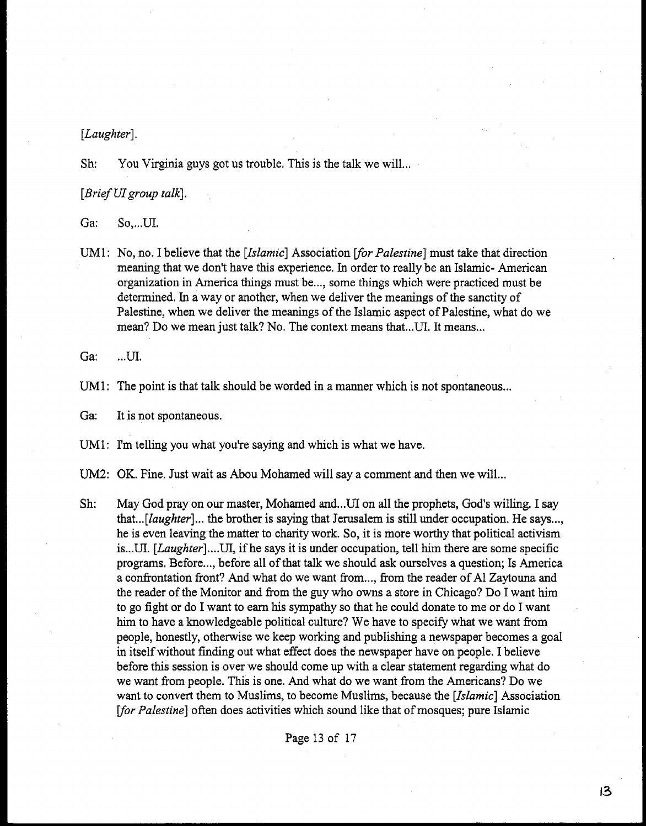### *[Laughter].*

Sh: You Virginia guys got us trouble. This is the talk we will...

**[Brief** *UI group talk].* 

Ga: So, ... UI.

UM1: No, no. I believe that the *[Islamic]* Association *for Palestine]* must take that direction meaning that we don't have this experience. In order to really be **an** Islamic- American organization in America things must be ..., some things which were practiced must be determined. In a way or another, when we deliver the meanings of the sanctity of Palestine, when we deliver the meanings of the Islamic aspect of Palestine, what do we mean? Do we mean just talk? No. The context means that ... UI. It means...

Ga: ... UI.

UM1: The point is that talk should be worded in a manner which is not spontaneous...

**Ga:** It is not spontaneous.

UM1: I'm telling you what you're saying and which is what we have.

**UM2:** OK. Fine. Just wait as Abou Mohamed will say a comment and then we will...

Sh: May God pray on our master, Mohamed and... UI on all the prophets, God's willing. I say that...*[laughter]*... the brother is saying that Jerusalem is still under occupation. He says..., he is even leaving the matter to charity work. So, it is more worthy that political activism is ... **UI.** *[Laughter]* .... UI, if he says it is under occupation, tell him there are some specific programs, Before ..., before all of that talk we should ask ourselves a question; Is America a confrontation front? **And** what do we want from ..., from the reader of A1 Zaytouna and the reader of the Monitor and from the guy who owns a store in Chicago? Do I want him to go fight or do I want to earn his sympathy so that he could donate to me or do I want him to have a knowledgeable political culture? We have to specify what we want from people, honestly, otherwise we keep working and publishing a newspaper becomes a goal in itself without finding out what effect does the newspaper have on people. I believe before this session is over we should come up with a clear statement regarding what do we want from people. This is one. And what do we want from the Americans? Do we want to convert them to Muslims, to become Muslims, because the *[Islamic]* Association [for Palestine] often does activities which sound like that of mosques; pure Islamic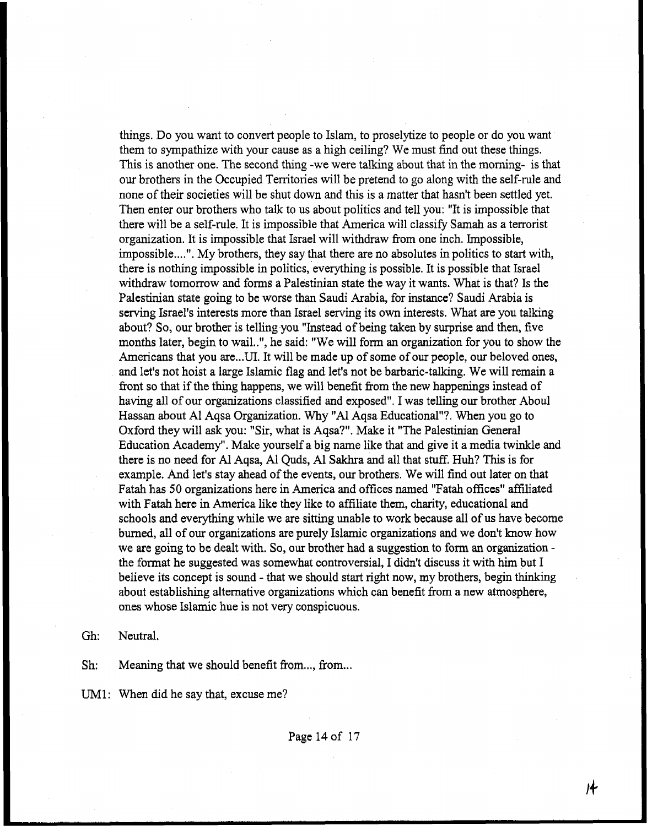things. Do you want to convert people to Islam, to proselytize to people or do you want them to sympathize with your cause as a high ceiling? We must **find** out these things. This is another one. The second thing -we were talking about that in the moming- is that ow brothers in the Occupied Territories will be pretend to go along with the self-rule and none of their societies will be shut down and this is a matter that hasn't been settled yet. Then enter our brothers who talk to us about politics and tell you: "It is impossible that there will be a self-rule. It is impossible that America will classify Samah as a terrorist organization. It is impossible that Israel will withdraw fiom one inch. Impossible, impossible....". My brothers, they say that there are no absolutes in politics to start with, there is nothing impossible in politics, everything is possible. It is possible that Israel withdraw tomorrow and forms a Palestinian state the way it wants. What is that? Is the Palestinian state going to be worse than Saudi Arabia, for instance? Saudi Arabia is serving Israel's interests more than Israel serving its own interests. What are you talking about? So, our brother is telling you "Instead of being taken by surprise **and** then, five months later, begin to wail..", he said: "We will form an organization for you to show the Americans that you are...UI. It will be made up of some of our people, our beloved ones, and let's not hoist a large Islamic flag and let's not be barbaric-talking. We will remain a fiont so that if the thing happens, we will benefit from the new happenings instead of having all of ow organizations classified and exposed". I was telling our brother Aboul Hassan about A1 Aqsa Organization. Why "A1 Aqsa Educational"?. When you go to Oxford they will ask you: "Sir, what is Aqsa?". Make it "The Palestinian General Education Academy". Make yourself a big name like that and give it a media twinkle and there is no need for Al Aqsa, Al Quds, Al Sakhra and all that stuff. Huh? This is for example. And let's stay ahead of the events, ow brothers. We will find out later on that Fatah has 50 organizations here in America and offices named "Fatah offices" affiliated with Fatah here in America like they like to affiliate them, charity, educational and schools **and** everything while we are sitting unable to work because all of us have become burned, all of ow organizations are purely Islamic organizations and we don't know how we are going to be dealt with. So, our brother had a suggestion to form an organization the format he suggested was somewhat controversial, I didn't discuss it with **him** but I believe its concept is sound - that we should start right **now,** my brothers, begin **thinking**  about establishing alternative organizations which can benefit from a new atmosphere, ones whose Islamic hue is not very conspicuous.

Gh: Neutral.

Sh: Meaning that we should benefit from ..., from ...

UM1: When did he say that, excuse me?

Page 140f 17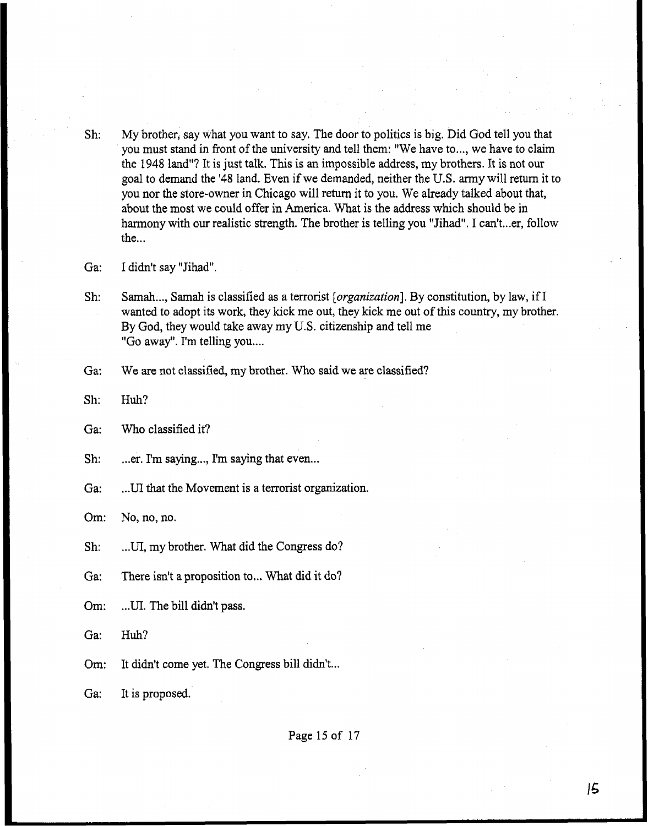- Sh: My brother, say what you want to say, The door to politics is big. Did God tell you that you must stand in front of the university and tell them: "We have to ..., we have to claim the 1948 land"? It is just talk. This is an impossible address, my brothers. It is not our goal to demand the '48 land. Even if we demanded, neither the U.S. army will return it to you nor the store-owner in Chicago will return it to you. We already talked about that, about the most we could offer in America. What is the address which should be in harmony with our realistic strength. The brother is telling you "Jihad". I can't...er, follow  $the...$
- Ga: I didn't say "Jihad"
- Sh: Samah..., Samah is classified as a terrorist [*organization*]. By constitution, by law, if I wanted to adopt its work, they kick me out, they kick me out of this country, my brother. By God, they would take away my U.S, citizenship and tell me "Go away". I'm telling you....
- Ga: We are not classified, my brother. Who said **we** are classified?
- Sh: Huh?
- Ga: Who classified it?
- Sh: ... er. I'm saying ..., I'm saying that even...
- Ga: **...UI** that the Movement is a terrorist organization.

Om: No, no, no.

Sh: ... **UI,** my brother. What did the Congress do?

Ga: There isn't a proposition to,.. What did it do?

- Om: .. **.UI.** The bill didn't pass.
- **Ga: Huh?**
- **Om:**  It didn't come yet. The Congress bill didn't...
- Ga: It is proposed.

Page 15 of 17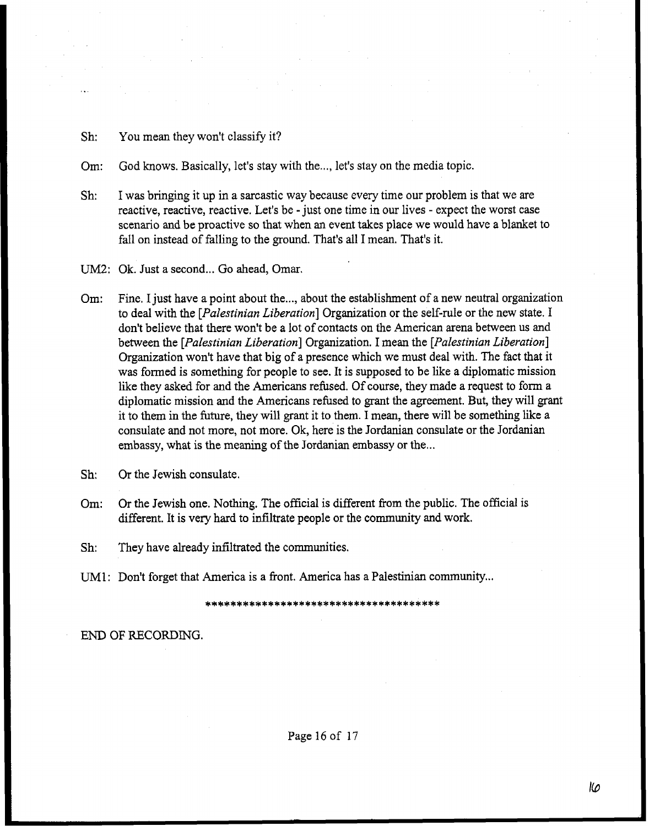- Sh: You mean they won't classify it?
- Om: God knows. Basically, let's stay with the..,, let's stay on the media topic.
- Sh: I was bringing it up in a sarcastic way because every time our problem is that we are reactive, reactive, reactive. Let's be -just one time in our lives - expect the worst case scenario **and** be proactive so that when **an** event takes place we would have a blanket to fall on instead of falling to the ground. That's all I mean. That's it.
- UM2: Ok. Just a second... Go ahead, Omar.
- Om: Fine. I just have a point about the ..., about the establishment of a new neutral organization to deal with the *[Palestinian Liberation]* Organization *or* the self-rule or the new state. I don't believe that there won't be a lot of contacts on the American arena between us and between the *[Palestinian Liberation]* Organization. *I* mean the *[Palestinian Liberation]*  Organization won't have that big of a presence which we must deal with. The fact that it was formed is something for people to see. It is supposed to be like a diplomatic mission like they asked for and the Americans refused. Of course, they made a request to form a diplomatic mission and the Americans refused to grant the agreement. But, they will grant it to them in the future, they will grant it to them. I mean, there will be something like a consulate and not more, not more. Ok, here is the Jordanian consulate or the Jordanian embassy, what is the meaning of the Jordanian embassy or the...
- Sh: Or the Jewish consulate,
- Om: Or the Jewish one. Nothing. The official is different from the public. The official is different. It is very hard to infiltrate people or the community and work.

**Sh:** They have already infiltrated the communities,

UM1: Don't forget that America is a front. America has a Palestinian community...

END OF RECORDING.